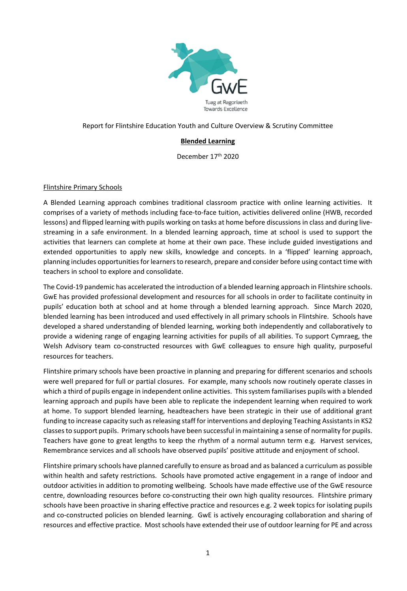

## Report for Flintshire Education Youth and Culture Overview & Scrutiny Committee

# **Blended Learning**

December 17th 2020

#### Flintshire Primary Schools

A Blended Learning approach combines traditional classroom practice with online learning activities. It comprises of a variety of methods including face-to-face tuition, activities delivered online (HWB, recorded lessons) and flipped learning with pupils working on tasks at home before discussions in class and during livestreaming in a safe environment. In a blended learning approach, time at school is used to support the activities that learners can complete at home at their own pace. These include guided investigations and extended opportunities to apply new skills, knowledge and concepts. In a 'flipped' learning approach, planning includes opportunities for learners to research, prepare and consider before using contact time with teachers in school to explore and consolidate.

The Covid-19 pandemic has accelerated the introduction of a blended learning approach in Flintshire schools. GwE has provided professional development and resources for all schools in order to facilitate continuity in pupils' education both at school and at home through a blended learning approach. Since March 2020, blended learning has been introduced and used effectively in all primary schools in Flintshire. Schools have developed a shared understanding of blended learning, working both independently and collaboratively to provide a widening range of engaging learning activities for pupils of all abilities. To support Cymraeg, the Welsh Advisory team co-constructed resources with GwE colleagues to ensure high quality, purposeful resources for teachers.

Flintshire primary schools have been proactive in planning and preparing for different scenarios and schools were well prepared for full or partial closures. For example, many schools now routinely operate classes in which a third of pupils engage in independent online activities. This system familiarises pupils with a blended learning approach and pupils have been able to replicate the independent learning when required to work at home. To support blended learning, headteachers have been strategic in their use of additional grant funding to increase capacity such as releasing staff for interventions and deploying Teaching Assistants in KS2 classesto support pupils. Primary schools have been successful in maintaining a sense of normality for pupils. Teachers have gone to great lengths to keep the rhythm of a normal autumn term e.g. Harvest services, Remembrance services and all schools have observed pupils' positive attitude and enjoyment of school.

Flintshire primary schools have planned carefully to ensure as broad and as balanced a curriculum as possible within health and safety restrictions. Schools have promoted active engagement in a range of indoor and outdoor activities in addition to promoting wellbeing. Schools have made effective use of the GwE resource centre, downloading resources before co-constructing their own high quality resources. Flintshire primary schools have been proactive in sharing effective practice and resources e.g. 2 week topics for isolating pupils and co-constructed policies on blended learning. GwE is actively encouraging collaboration and sharing of resources and effective practice. Most schools have extended their use of outdoor learning for PE and across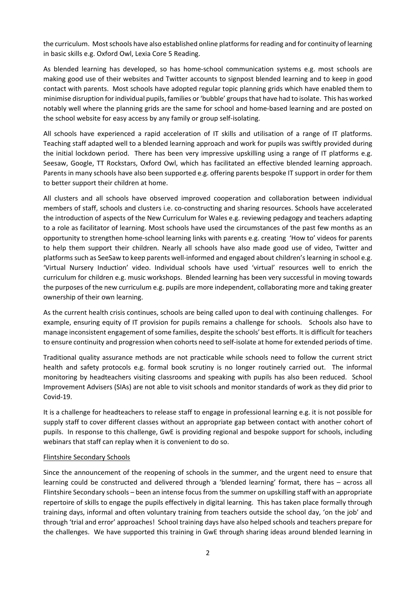the curriculum. Most schools have also established online platforms for reading and for continuity of learning in basic skills e.g. Oxford Owl, Lexia Core 5 Reading.

As blended learning has developed, so has home-school communication systems e.g. most schools are making good use of their websites and Twitter accounts to signpost blended learning and to keep in good contact with parents. Most schools have adopted regular topic planning grids which have enabled them to minimise disruption forindividual pupils, families or'bubble' groupsthat have had to isolate. This has worked notably well where the planning grids are the same for school and home-based learning and are posted on the school website for easy access by any family or group self-isolating.

All schools have experienced a rapid acceleration of IT skills and utilisation of a range of IT platforms. Teaching staff adapted well to a blended learning approach and work for pupils was swiftly provided during the initial lockdown period. There has been very impressive upskilling using a range of IT platforms e.g. Seesaw, Google, TT Rockstars, Oxford Owl, which has facilitated an effective blended learning approach. Parents in many schools have also been supported e.g. offering parents bespoke IT support in order for them to better support their children at home.

All clusters and all schools have observed improved cooperation and collaboration between individual members of staff, schools and clusters i.e. co-constructing and sharing resources. Schools have accelerated the introduction of aspects of the New Curriculum for Wales e.g. reviewing pedagogy and teachers adapting to a role as facilitator of learning. Most schools have used the circumstances of the past few months as an opportunity to strengthen home-school learning links with parents e.g. creating 'How to' videos for parents to help them support their children. Nearly all schools have also made good use of video, Twitter and platformssuch as SeeSaw to keep parents well-informed and engaged about children'slearning in school e.g. 'Virtual Nursery Induction' video. Individual schools have used 'virtual' resources well to enrich the curriculum for children e.g. music workshops. Blended learning has been very successful in moving towards the purposes of the new curriculum e.g. pupils are more independent, collaborating more and taking greater ownership of their own learning.

As the current health crisis continues, schools are being called upon to deal with continuing challenges. For example, ensuring equity of IT provision for pupils remains a challenge for schools. Schools also have to manage inconsistent engagement of some families, despite the schools' best efforts. It is difficult for teachers to ensure continuity and progression when cohorts need to self-isolate at home for extended periods of time.

Traditional quality assurance methods are not practicable while schools need to follow the current strict health and safety protocols e.g. formal book scrutiny is no longer routinely carried out. The informal monitoring by headteachers visiting classrooms and speaking with pupils has also been reduced. School Improvement Advisers (SIAs) are not able to visit schools and monitor standards of work as they did prior to Covid-19.

It is a challenge for headteachers to release staff to engage in professional learning e.g. it is not possible for supply staff to cover different classes without an appropriate gap between contact with another cohort of pupils. In response to this challenge, GwE is providing regional and bespoke support for schools, including webinars that staff can replay when it is convenient to do so.

### Flintshire Secondary Schools

Since the announcement of the reopening of schools in the summer, and the urgent need to ensure that learning could be constructed and delivered through a 'blended learning' format, there has – across all Flintshire Secondary schools – been an intense focus from the summer on upskilling staff with an appropriate repertoire of skills to engage the pupils effectively in digital learning. This has taken place formally through training days, informal and often voluntary training from teachers outside the school day, 'on the job' and through 'trial and error' approaches! School training days have also helped schools and teachers prepare for the challenges. We have supported this training in GwE through sharing ideas around blended learning in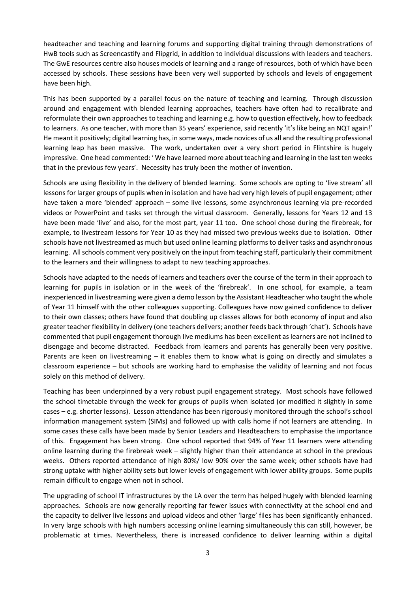headteacher and teaching and learning forums and supporting digital training through demonstrations of HwB tools such as Screencastify and Flipgrid, in addition to individual discussions with leaders and teachers. The GwE resources centre also houses models of learning and a range of resources, both of which have been accessed by schools. These sessions have been very well supported by schools and levels of engagement have been high.

This has been supported by a parallel focus on the nature of teaching and learning. Through discussion around and engagement with blended learning approaches, teachers have often had to recalibrate and reformulate their own approaches to teaching and learning e.g. how to question effectively, how to feedback to learners. As one teacher, with more than 35 years' experience, said recently 'it's like being an NQT again!' He meant it positively; digital learning has, in some ways, made novices of us all and the resulting professional learning leap has been massive. The work, undertaken over a very short period in Flintshire is hugely impressive. One head commented: ' We have learned more about teaching and learning in the last ten weeks that in the previous few years'. Necessity has truly been the mother of invention.

Schools are using flexibility in the delivery of blended learning. Some schools are opting to 'live stream' all lessons for larger groups of pupils when in isolation and have had very high levels of pupil engagement; other have taken a more 'blended' approach – some live lessons, some asynchronous learning via pre-recorded videos or PowerPoint and tasks set through the virtual classroom. Generally, lessons for Years 12 and 13 have been made 'live' and also, for the most part, year 11 too. One school chose during the firebreak, for example, to livestream lessons for Year 10 as they had missed two previous weeks due to isolation. Other schools have not livestreamed as much but used online learning platforms to deliver tasks and asynchronous learning. Allschools comment very positively on the input from teaching staff, particularly their commitment to the learners and their willingness to adapt to new teaching approaches.

Schools have adapted to the needs of learners and teachers over the course of the term in their approach to learning for pupils in isolation or in the week of the 'firebreak'. In one school, for example, a team inexperienced in livestreaming were given a demo lesson by the Assistant Headteacher who taught the whole of Year 11 himself with the other colleagues supporting. Colleagues have now gained confidence to deliver to their own classes; others have found that doubling up classes allows for both economy of input and also greater teacher flexibility in delivery (one teachers delivers; another feeds back through 'chat'). Schools have commented that pupil engagement thorough live mediums has been excellent as learners are not inclined to disengage and become distracted. Feedback from learners and parents has generally been very positive. Parents are keen on livestreaming – it enables them to know what is going on directly and simulates a classroom experience – but schools are working hard to emphasise the validity of learning and not focus solely on this method of delivery.

Teaching has been underpinned by a very robust pupil engagement strategy. Most schools have followed the school timetable through the week for groups of pupils when isolated (or modified it slightly in some cases – e.g. shorter lessons). Lesson attendance has been rigorously monitored through the school's school information management system (SIMs) and followed up with calls home if not learners are attending. In some cases these calls have been made by Senior Leaders and Headteachers to emphasise the importance of this. Engagement has been strong. One school reported that 94% of Year 11 learners were attending online learning during the firebreak week – slightly higher than their attendance at school in the previous weeks. Others reported attendance of high 80%/ low 90% over the same week; other schools have had strong uptake with higher ability sets but lower levels of engagement with lower ability groups. Some pupils remain difficult to engage when not in school.

The upgrading of school IT infrastructures by the LA over the term has helped hugely with blended learning approaches. Schools are now generally reporting far fewer issues with connectivity at the school end and the capacity to deliver live lessons and upload videos and other 'large' files has been significantly enhanced. In very large schools with high numbers accessing online learning simultaneously this can still, however, be problematic at times. Nevertheless, there is increased confidence to deliver learning within a digital